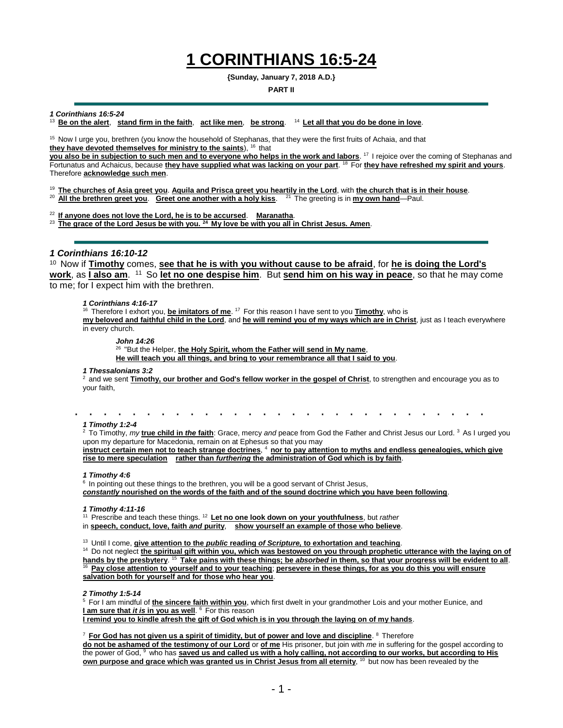# **1 CORINTHIANS 16:5-24**

**{Sunday, January 7, 2018 A.D.}**

### **PART II**

### *1 Corinthians 16:5-24*

<sup>13</sup>**Be on the alert**, **stand firm in the faith**, **act like men**, **be strong**. <sup>14</sup>**Let all that you do be done in love**.

<sup>15</sup> Now I urge you, brethren (you know the household of Stephanas, that they were the first fruits of Achaia, and that they have devoted themselves for ministry to the saints), <sup>16</sup> that

**you also be in subjection to such men and to everyone who helps in the work and labors**. <sup>17</sup>I rejoice over the coming of Stephanas and Fortunatus and Achaicus, because **they have supplied what was lacking on your part**. <sup>18</sup>For **they have refreshed my spirit and yours**. Therefore **acknowledge such men**.

<sup>19</sup>**The churches of Asia greet you**. **Aquila and Prisca greet you heartily in the Lord**, with **the church that is in their house**.

<sup>20</sup> **All the brethren greet you. Greet one another with a holy kiss.** <sup>21</sup> The greeting is in **my own hand**—Paul.

<sup>22</sup>**If anyone does not love the Lord, he is to be accursed**. **Maranatha**.

<sup>23</sup>**The grace of the Lord Jesus be with you. <sup>24</sup>My love be with you all in Christ Jesus. Amen**.

## *1 Corinthians 16:10-12*

<sup>10</sup> Now if Timothy comes, **see that he is with you without cause to be afraid**, for he is doing the Lord's **<u>work,</u> as <u>I also am. <sup>11</sup> So let no one despise him</u>. But <u>send him on his way in peace</u>, so that he may come** to me; for I expect him with the brethren.

### *1 Corinthians 4:16-17*

<sup>16</sup> Therefore I exhort you, *be imitators of me*. <sup>17</sup> For this reason I have sent to you *Timothy*, who is **my beloved and faithful child in the Lord**, and **he will remind you of my ways which are in Christ**, just as I teach everywhere in every church.

*John 14:26*

26 "But the Helper, **the Holy Spirit, whom the Father will send in My name**,

**He will teach you all things, and bring to your remembrance all that I said to you**.

#### *1 Thessalonians 3:2*

 $\sim$ 

<sup>2</sup> and we sent **Timothy, our brother and God's fellow worker in the gospel of Christ**, to strengthen and encourage you as to your faith,

 $\sim$ *1 Timothy 1:2-4*

<sup>2</sup> To Timothy, *my* true child in *the* faith: Grace, mercy and peace from God the Father and Christ Jesus our Lord. <sup>3</sup> As I urged you upon my departure for Macedonia, remain on at Ephesus so that you may

**instruct certain men not to teach strange doctrines**, <sup>4</sup> **nor to pay attention to myths and endless genealogies, which give rise to mere speculation rather than** *furthering* **the administration of God which is by faith**.

#### *1 Timothy 4:6*

 $6$  In pointing out these things to the brethren, you will be a good servant of Christ Jesus, *constantly* **nourished on the words of the faith and of the sound doctrine which you have been following**.

*1 Timothy 4:11-16*

<sup>11</sup> Prescribe and teach these things. <sup>12</sup> Let no one look down on your youthfulness, but *rather* 

in **speech, conduct, love, faith** *and* **purity**, **show yourself an example of those who believe**.

<sup>13</sup> Until I come, give attention to the *public* reading of Scripture, to exhortation and teaching.

<sup>14</sup> Do not neglect the spiritual gift within you, which was bestowed on you through prophetic utterance with the laying on of **hands by the presbytery**. <sup>15</sup>**Take pains with these things; be** *absorbed* **in them, so that your progress will be evident to all**. <sup>16</sup>**Pay close attention to yourself and to your teaching**; **persevere in these things, for as you do this you will ensure salvation both for yourself and for those who hear you**.

*2 Timothy 1:5-14*

<sup>5</sup>For I am mindful of **the sincere faith within you**, which first dwelt in your grandmother Lois and your mother Eunice, and **I am sure that** *it is* **in you as well**. <sup>6</sup> For this reason **I remind you to kindle afresh the gift of God which is in you through the laying on of my hands**.

<sup>7</sup>**For God has not given us a spirit of timidity, but of power and love and discipline**. <sup>8</sup>Therefore

**do not be ashamed of the testimony of our Lord** or **of me** His prisoner, but join with *me* in suffering for the gospel according to the power of God, <sup>9</sup> who has **saved us and called us with a holy calling, not according to our works, but according to His own purpose and grace which was granted us in Christ Jesus from all eternity**, 10 but now has been revealed by the